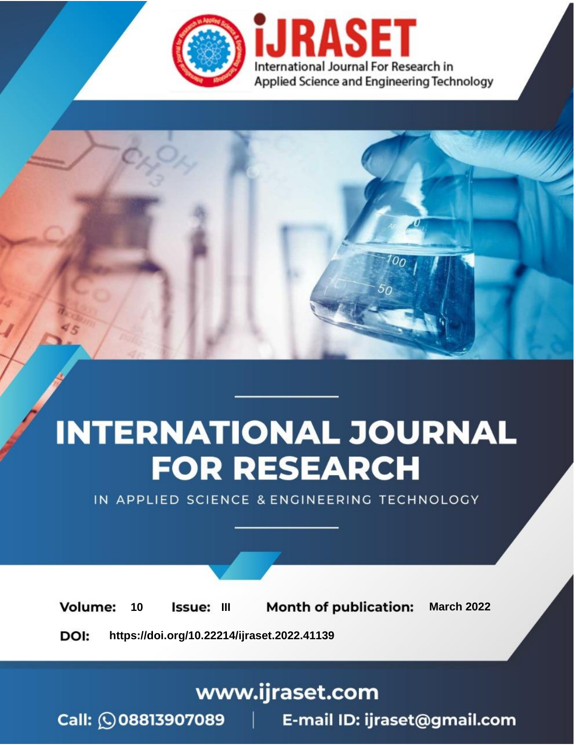

# **INTERNATIONAL JOURNAL FOR RESEARCH**

IN APPLIED SCIENCE & ENGINEERING TECHNOLOGY

**Month of publication: Volume:** 10 Issue: III **March 2022** DOI: https://doi.org/10.22214/ijraset.2022.41139

www.ijraset.com

Call: 008813907089 | E-mail ID: ijraset@gmail.com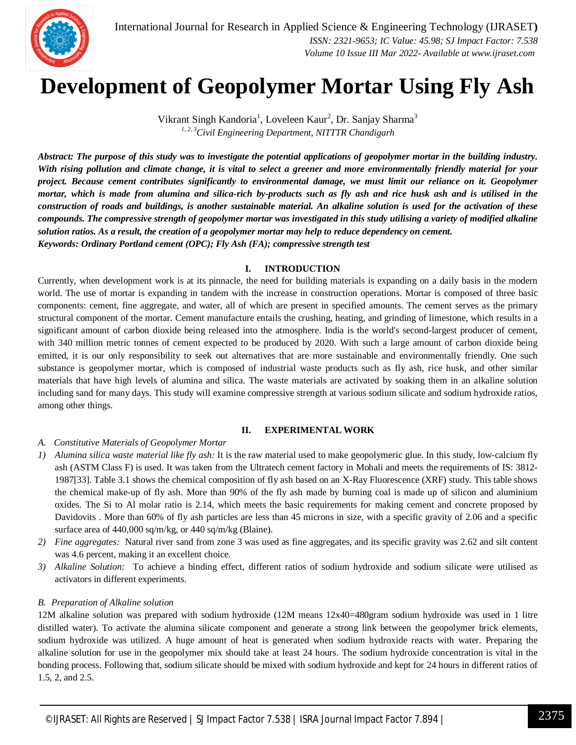

### **Development of Geopolymer Mortar Using Fly Ash**

Vikrant Singh Kandoria<sup>1</sup>, Loveleen Kaur<sup>2</sup>, Dr. Sanjay Sharma<sup>3</sup> *1, 2, 3Civil Engineering Department, NITTTR Chandigarh*

*Abstract: The purpose of this study was to investigate the potential applications of geopolymer mortar in the building industry. With rising pollution and climate change, it is vital to select a greener and more environmentally friendly material for your project. Because cement contributes significantly to environmental damage, we must limit our reliance on it. Geopolymer mortar, which is made from alumina and silica-rich by-products such as fly ash and rice husk ash and is utilised in the construction of roads and buildings, is another sustainable material. An alkaline solution is used for the activation of these compounds. The compressive strength of geopolymer mortar was investigated in this study utilising a variety of modified alkaline solution ratios. As a result, the creation of a geopolymer mortar may help to reduce dependency on cement. Keywords: Ordinary Portland cement (OPC); Fly Ash (FA); compressive strength test*

#### **I. INTRODUCTION**

Currently, when development work is at its pinnacle, the need for building materials is expanding on a daily basis in the modern world. The use of mortar is expanding in tandem with the increase in construction operations. Mortar is composed of three basic components: cement, fine aggregate, and water, all of which are present in specified amounts. The cement serves as the primary structural component of the mortar. Cement manufacture entails the crushing, heating, and grinding of limestone, which results in a significant amount of carbon dioxide being released into the atmosphere. India is the world's second-largest producer of cement, with 340 million metric tonnes of cement expected to be produced by 2020. With such a large amount of carbon dioxide being emitted, it is our only responsibility to seek out alternatives that are more sustainable and environmentally friendly. One such substance is geopolymer mortar, which is composed of industrial waste products such as fly ash, rice husk, and other similar materials that have high levels of alumina and silica. The waste materials are activated by soaking them in an alkaline solution including sand for many days. This study will examine compressive strength at various sodium silicate and sodium hydroxide ratios, among other things.

#### **II. EXPERIMENTAL WORK**

#### *A. Constitutive Materials of Geopolymer Mortar*

- *1) Alumina silica waste material like fly ash:* It is the raw material used to make geopolymeric glue. In this study, low-calcium fly ash (ASTM Class F) is used. It was taken from the Ultratech cement factory in Mohali and meets the requirements of IS: 3812- 1987[33]. Table 3.1 shows the chemical composition of fly ash based on an X-Ray Fluorescence (XRF) study. This table shows the chemical make-up of fly ash. More than 90% of the fly ash made by burning coal is made up of silicon and aluminium oxides. The Si to Al molar ratio is 2.14, which meets the basic requirements for making cement and concrete proposed by Davidovits . More than 60% of fly ash particles are less than 45 microns in size, with a specific gravity of 2.06 and a specific surface area of 440,000 sq/m/kg, or 440 sq/m/kg (Blaine).
- *2) Fine aggregates:* Natural river sand from zone 3 was used as fine aggregates, and its specific gravity was 2.62 and silt content was 4.6 percent, making it an excellent choice.
- *3) Alkaline Solution:* To achieve a binding effect, different ratios of sodium hydroxide and sodium silicate were utilised as activators in different experiments.

#### *B. Preparation of Alkaline solution*

12M alkaline solution was prepared with sodium hydroxide (12M means 12x40=480gram sodium hydroxide was used in 1 litre distilled water). To activate the alumina silicate component and generate a strong link between the geopolymer brick elements, sodium hydroxide was utilized. A huge amount of heat is generated when sodium hydroxide reacts with water. Preparing the alkaline solution for use in the geopolymer mix should take at least 24 hours. The sodium hydroxide concentration is vital in the bonding process. Following that, sodium silicate should be mixed with sodium hydroxide and kept for 24 hours in different ratios of 1.5, 2, and 2.5.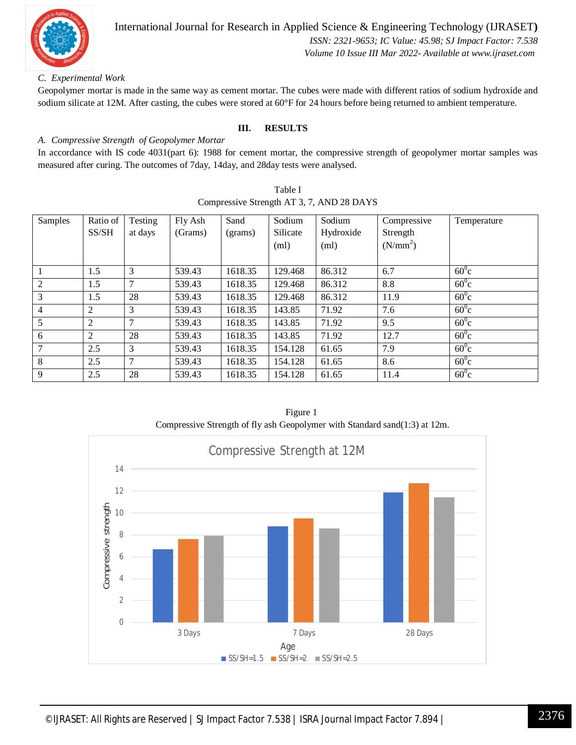

 *Volume 10 Issue III Mar 2022- Available at www.ijraset.com*

#### *C. Experimental Work*

Geopolymer mortar is made in the same way as cement mortar. The cubes were made with different ratios of sodium hydroxide and sodium silicate at 12M. After casting, the cubes were stored at 60°F for 24 hours before being returned to ambient temperature.

#### **III. RESULTS**

#### *A. Compressive Strength of Geopolymer Mortar*

In accordance with IS code 4031(part 6): 1988 for cement mortar, the compressive strength of geopolymer mortar samples was measured after curing. The outcomes of 7day, 14day, and 28day tests were analysed.

| Table I                                   |
|-------------------------------------------|
| Compressive Strength AT 3, 7, AND 28 DAYS |

| Samples | Ratio of | Testing        | Fly Ash | Sand    | Sodium   | Sodium    | Compressive          | Temperature    |
|---------|----------|----------------|---------|---------|----------|-----------|----------------------|----------------|
|         | SS/SH    | at days        | (Grams) | (grams) | Silicate | Hydroxide | Strength             |                |
|         |          |                |         |         | (ml)     | (ml)      | (N/mm <sup>2</sup> ) |                |
|         |          |                |         |         |          |           |                      |                |
|         | 1.5      | 3              | 539.43  | 1618.35 | 129.468  | 86.312    | 6.7                  | $60^0$ c       |
| 2       | 1.5      | 7              | 539.43  | 1618.35 | 129.468  | 86.312    | 8.8                  | $60^{\circ}$ c |
| 3       | 1.5      | 28             | 539.43  | 1618.35 | 129.468  | 86.312    | 11.9                 | $60^0$ c       |
| 4       | 2        | 3              | 539.43  | 1618.35 | 143.85   | 71.92     | 7.6                  | $60^0$ c       |
| 5       | 2        | 7              | 539.43  | 1618.35 | 143.85   | 71.92     | 9.5                  | $60^0$ c       |
| 6       | 2        | 28             | 539.43  | 1618.35 | 143.85   | 71.92     | 12.7                 | $60^0$ c       |
|         | 2.5      | 3              | 539.43  | 1618.35 | 154.128  | 61.65     | 7.9                  | $60^{\circ}$ c |
| 8       | 2.5      | $\overline{7}$ | 539.43  | 1618.35 | 154.128  | 61.65     | 8.6                  | $60^0$ c       |
| 9       | 2.5      | 28             | 539.43  | 1618.35 | 154.128  | 61.65     | 11.4                 | $60^0$ c       |

Figure 1 Compressive Strength of fly ash Geopolymer with Standard sand(1:3) at 12m.

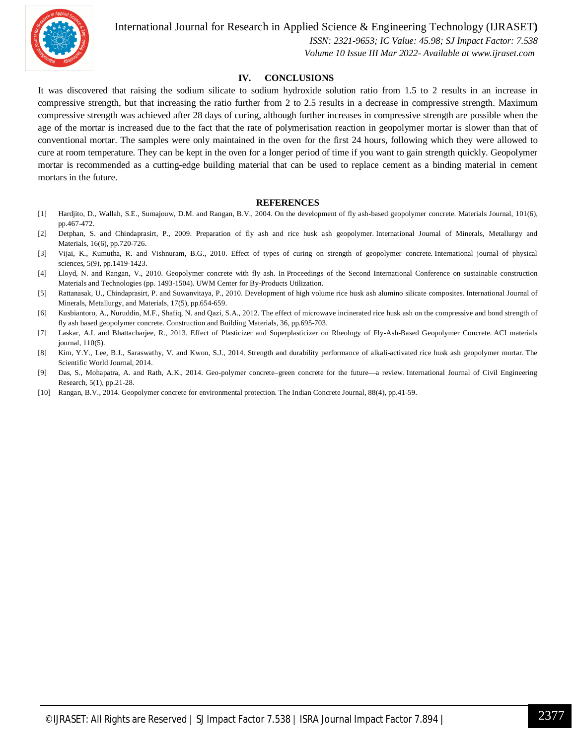International Journal for Research in Applied Science & Engineering Technology (IJRASET**)**



 *ISSN: 2321-9653; IC Value: 45.98; SJ Impact Factor: 7.538 Volume 10 Issue III Mar 2022- Available at www.ijraset.com*

#### **IV. CONCLUSIONS**

It was discovered that raising the sodium silicate to sodium hydroxide solution ratio from 1.5 to 2 results in an increase in compressive strength, but that increasing the ratio further from 2 to 2.5 results in a decrease in compressive strength. Maximum compressive strength was achieved after 28 days of curing, although further increases in compressive strength are possible when the age of the mortar is increased due to the fact that the rate of polymerisation reaction in geopolymer mortar is slower than that of conventional mortar. The samples were only maintained in the oven for the first 24 hours, following which they were allowed to cure at room temperature. They can be kept in the oven for a longer period of time if you want to gain strength quickly. Geopolymer mortar is recommended as a cutting-edge building material that can be used to replace cement as a binding material in cement mortars in the future.

#### **REFERENCES**

- [1] Hardjito, D., Wallah, S.E., Sumajouw, D.M. and Rangan, B.V., 2004. On the development of fly ash-based geopolymer concrete. Materials Journal, 101(6), pp.467-472.
- [2] Detphan, S. and Chindaprasirt, P., 2009. Preparation of fly ash and rice husk ash geopolymer. International Journal of Minerals, Metallurgy and Materials, 16(6), pp.720-726.
- [3] Vijai, K., Kumutha, R. and Vishnuram, B.G., 2010. Effect of types of curing on strength of geopolymer concrete. International journal of physical sciences, 5(9), pp.1419-1423.
- [4] Lloyd, N. and Rangan, V., 2010. Geopolymer concrete with fly ash. In Proceedings of the Second International Conference on sustainable construction Materials and Technologies (pp. 1493-1504). UWM Center for By-Products Utilization.
- [5] Rattanasak, U., Chindaprasirt, P. and Suwanvitaya, P., 2010. Development of high volume rice husk ash alumino silicate composites. International Journal of Minerals, Metallurgy, and Materials, 17(5), pp.654-659.
- [6] Kusbiantoro, A., Nuruddin, M.F., Shafiq, N. and Qazi, S.A., 2012. The effect of microwave incinerated rice husk ash on the compressive and bond strength of fly ash based geopolymer concrete. Construction and Building Materials, 36, pp.695-703.
- [7] Laskar, A.I. and Bhattacharjee, R., 2013. Effect of Plasticizer and Superplasticizer on Rheology of Fly-Ash-Based Geopolymer Concrete. ACI materials journal, 110(5).
- [8] Kim, Y.Y., Lee, B.J., Saraswathy, V. and Kwon, S.J., 2014. Strength and durability performance of alkali-activated rice husk ash geopolymer mortar. The Scientific World Journal, 2014.
- [9] Das, S., Mohapatra, A. and Rath, A.K., 2014. Geo-polymer concrete–green concrete for the future—a review. International Journal of Civil Engineering Research, 5(1), pp.21-28.
- [10] Rangan, B.V., 2014. Geopolymer concrete for environmental protection. The Indian Concrete Journal, 88(4), pp.41-59.